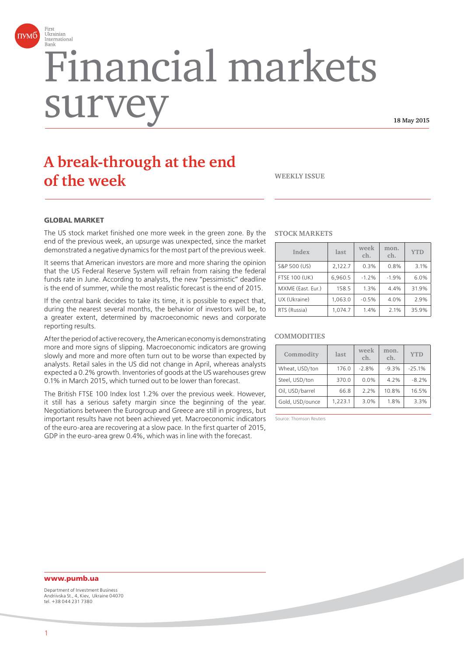

# Financial markets surve

**18 May 2015**

# **A break-through at the end of the week WEEKLY ISSUE**

#### **GLORAL MARKET**

The US stock market finished one more week in the green zone. By the end of the previous week, an upsurge was unexpected, since the market demonstrated a negative dynamics for the most part of the previous week.

It seems that American investors are more and more sharing the opinion that the US Federal Reserve System will refrain from raising the federal funds rate in June. According to analysts, the new "pessimistic" deadline is the end of summer, while the most realistic forecast is the end of 2015.

If the central bank decides to take its time, it is possible to expect that, during the nearest several months, the behavior of investors will be, to a greater extent, determined by macroeconomic news and corporate reporting results.

After the period of active recovery, the American economy is demonstrating more and more signs of slipping. Macroeconomic indicators are growing slowly and more and more often turn out to be worse than expected by analysts. Retail sales in the US did not change in April, whereas analysts expected a 0.2% growth. Inventories of goods at the US warehouses grew 0.1% in March 2015, which turned out to be lower than forecast.

The British FTSE 100 Index lost 1.2% over the previous week. However, it still has a serious safety margin since the beginning of the year. Negotiations between the Eurogroup and Greece are still in progress, but important results have not been achieved yet. Macroeconomic indicators of the euro-area are recovering at a slow pace. In the first quarter of 2015, GDP in the euro-area grew 0.4%, which was in line with the forecast.

#### **STOCK MARKETS**

| Index                | last    | week<br>ch. | mon.<br>ch. | <b>YTD</b> |
|----------------------|---------|-------------|-------------|------------|
| S&P 500 (US)         | 2,122.7 | 0.3%        | 0.8%        | 3.1%       |
| <b>FTSE 100 (UK)</b> | 6.960.5 | $-1.2%$     | $-1.9%$     | 6.0%       |
| MXME (East. Eur.)    | 158.5   | 1.3%        | 4.4%        | 31.9%      |
| UX (Ukraine)         | 1.063.0 | $-0.5%$     | 4.0%        | 2.9%       |
| RTS (Russia)         | 1.074.7 | 1.4%        | 2.1%        | 35.9%      |

#### **COMMODITIES**

| Commodity       | last    | week<br>ch. | mon.<br>ch. | <b>YTD</b> |
|-----------------|---------|-------------|-------------|------------|
| Wheat, USD/ton  | 176.0   | $-2.8%$     | $-9.3%$     | $-25.1%$   |
| Steel, USD/ton  | 370.0   | $0.0\%$     | 4.2%        | $-8.2%$    |
| Oil, USD/barrel | 66.8    | 2.2%        | 10.8%       | 16.5%      |
| Gold, USD/ounce | 1.223.1 | 3.0%        | 1.8%        | 3.3%       |

Source: Thomson Reuters

## **www.pumb.ua**

Department of Investment Business Andriivska St., 4, Kiev, Ukraine 04070 tel. +38 044 231 7380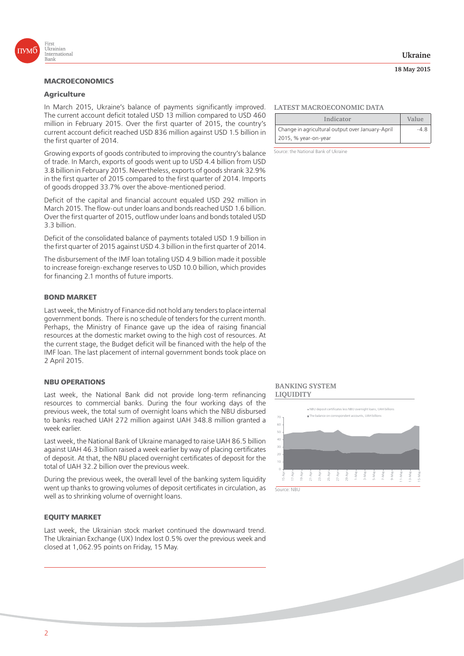

## **Agriculture**

In March 2015, Ukraine's balance of payments significantly improved. The current account deficit totaled USD 13 million compared to USD 460 million in February 2015. Over the first quarter of 2015, the country's current account deficit reached USD 836 million against USD 1.5 billion in the first quarter of 2014.

Growing exports of goods contributed to improving the country's balance of trade. In March, exports of goods went up to USD 4.4 billion from USD 3.8 billion in February 2015. Nevertheless, exports of goods shrank 32.9% in the first quarter of 2015 compared to the first quarter of 2014. Imports of goods dropped 33.7% over the above-mentioned period.

Deficit of the capital and financial account equaled USD 292 million in March 2015. The flow-out under loans and bonds reached USD 1.6 billion. Over the first quarter of 2015, outflow under loans and bonds totaled USD 3.3 billion.

Deficit of the consolidated balance of payments totaled USD 1.9 billion in the first quarter of 2015 against USD 4.3 billion in the first quarter of 2014.

The disbursement of the IMF loan totaling USD 4.9 billion made it possible to increase foreign-exchange reserves to USD 10.0 billion, which provides for financing 2.1 months of future imports.

#### **BOND MARKET**

Last week, the Ministry of Finance did not hold any tenders to place internal government bonds. There is no schedule of tenders for the current month. Perhaps, the Ministry of Finance gave up the idea of raising financial resources at the domestic market owing to the high cost of resources. At the current stage, the Budget deficit will be financed with the help of the IMF loan. The last placement of internal government bonds took place on 2 April 2015.

#### **NBU OPERATIONS**

Last week, the National Bank did not provide long-term refinancing resources to commercial banks. During the four working days of the previous week, the total sum of overnight loans which the NBU disbursed to banks reached UAH 272 million against UAH 348.8 million granted a week earlier.

Last week, the National Bank of Ukraine managed to raise UAH 86.5 billion against UAH 46.3 billion raised a week earlier by way of placing certificates of deposit. At that, the NBU placed overnight certificates of deposit for the total of UAH 32.2 billion over the previous week.

During the previous week, the overall level of the banking system liquidity went up thanks to growing volumes of deposit certificates in circulation, as well as to shrinking volume of overnight loans.

#### **EOUITY MARKET EQUITY MARKET**

Last week, the Ukrainian stock market continued the downward trend. The Ukrainian Exchange (UX) Index lost 0.5% over the previous week and closed at 1,062.95 points on Friday, 15 May.

#### **Ukraine**

#### **18 May 2015**

#### **LATEST MACROECONOMIC DATA**

| Indicator                                        | Value |
|--------------------------------------------------|-------|
| Change in agricultural output over January-April | -48   |
| 2015, % year-on-year                             |       |

Source: the National Bank of Ukraine

#### **BANKING SYSTEM LIQUIDITY**

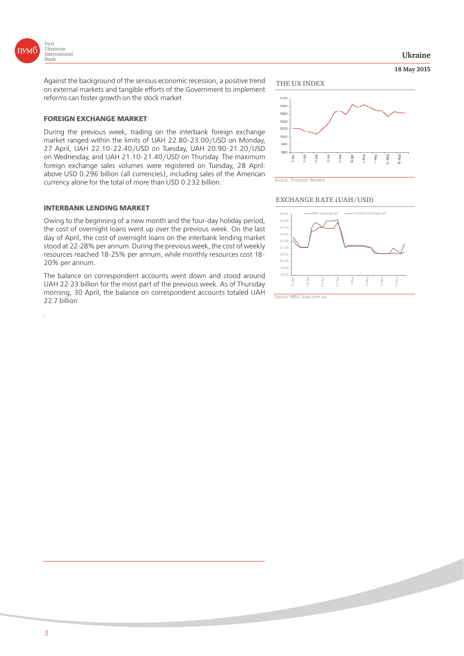

.

**18 May 2015 Ukraine**

Against the background of the serious economic recession, a positive trend on external markets and tangible efforts of the Government to implement reforms can foster growth on the stock market.

During the previous week, trading on the interbank foreign exchange market ranged within the limits of UAH 22.80-23.00/USD on Monday, 27 April, UAH 22.10-22.40/USD on Tuesday, UAH 20.90-21.20/USD on Wednesday, and UAH 21.10-21.40/USD on Thursday. The maximum foreign exchange sales volumes were registered on Tuesday, 28 April: above USD 0.296 billion (all currencies), including sales of the American currency alone for the total of more than USD 0.232 billion.

Owing to the beginning of a new month and the four-day holiday period, the cost of overnight loans went up over the previous week. On the last day of April, the cost of overnight loans on the interbank lending market stood at 22-28% per annum. During the previous week, the cost of weekly resources reached 18-25% per annum, while monthly resources cost 18- 20% per annum.

The balance on correspondent accounts went down and stood around UAH 22-23 billion for the most part of the previous week. As of Thursday morning, 30 April, the balance on correspondent accounts totaled UAH 22.7 billion





Source: Thomson Reuters

1100

#### **EXCHANGE RATE (UAH/USD)**

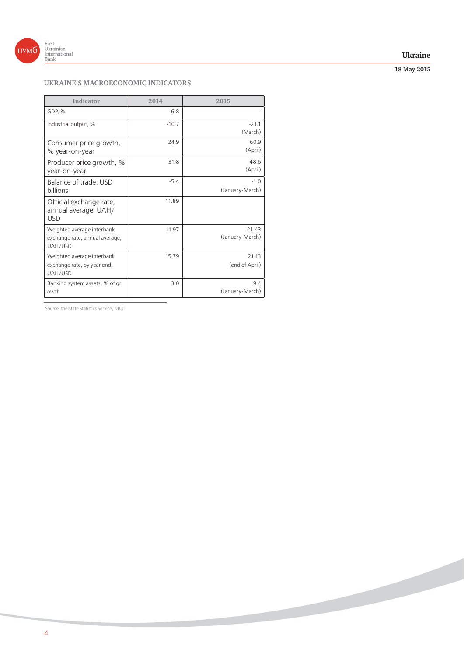

#### **Ukraine**

**18 May 2015**

## **UKRAINE'S MACROECONOMIC INDICATORS**

| Indicator                                                               | 2014    | 2015                      |
|-------------------------------------------------------------------------|---------|---------------------------|
| GDP, %                                                                  | $-6.8$  |                           |
| Industrial output, %                                                    | $-10.7$ | $-21.1$<br>(March)        |
| Consumer price growth,<br>% year-on-year                                | 24.9    | 60.9<br>(April)           |
| Producer price growth, %<br>year-on-year                                | 31.8    | 48.6<br>(April)           |
| Balance of trade, USD<br>billions                                       | $-5.4$  | $-1.0$<br>(January-March) |
| Official exchange rate,<br>annual average, UAH/<br><b>USD</b>           | 11.89   |                           |
| Weighted average interbank<br>exchange rate, annual average,<br>UAH/USD | 11.97   | 21.43<br>(January-March)  |
| Weighted average interbank<br>exchange rate, by year end,<br>UAH/USD    | 15.79   | 21.13<br>(end of April)   |
| Banking system assets, % of gr<br>owth                                  | 3.0     | 94<br>(January-March)     |

Source: the State Statistics Service, NBU